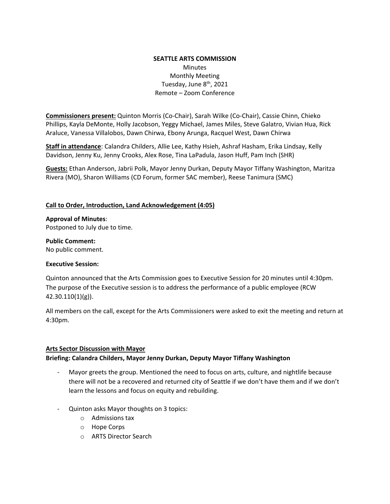### **SEATTLE ARTS COMMISSION**  Minutes Monthly Meeting Tuesday, June 8<sup>th</sup>, 2021 Remote – Zoom Conference

**Commissioners present:** Quinton Morris (Co-Chair), Sarah Wilke (Co-Chair), Cassie Chinn, Chieko Phillips, Kayla DeMonte, Holly Jacobson, Yeggy Michael, James Miles, Steve Galatro, Vivian Hua, Rick Araluce, Vanessa Villalobos, Dawn Chirwa, Ebony Arunga, Racquel West, Dawn Chirwa

**Staff in attendance**: Calandra Childers, Allie Lee, Kathy Hsieh, Ashraf Hasham, Erika Lindsay, Kelly Davidson, Jenny Ku, Jenny Crooks, Alex Rose, Tina LaPadula, Jason Huff, Pam Inch (SHR)

**Guests:** Ethan Anderson, Jabrii Polk, Mayor Jenny Durkan, Deputy Mayor Tiffany Washington, Maritza Rivera (MO), Sharon Williams (CD Forum, former SAC member), Reese Tanimura (SMC)

#### **Call to Order, Introduction, Land Acknowledgement (4:05)**

**Approval of Minutes**: Postponed to July due to time.

**Public Comment:** No public comment.

### **Executive Session:**

Quinton announced that the Arts Commission goes to Executive Session for 20 minutes until 4:30pm. The purpose of the Executive session is to address the performance of a public employee (RCW 42.30.110(1)(g)).

All members on the call, except for the Arts Commissioners were asked to exit the meeting and return at 4:30pm.

#### **Arts Sector Discussion with Mayor**

### **Briefing: Calandra Childers, Mayor Jenny Durkan, Deputy Mayor Tiffany Washington**

- Mayor greets the group. Mentioned the need to focus on arts, culture, and nightlife because there will not be a recovered and returned city of Seattle if we don't have them and if we don't learn the lessons and focus on equity and rebuilding.
- Quinton asks Mayor thoughts on 3 topics:
	- o Admissions tax
	- o Hope Corps
	- o ARTS Director Search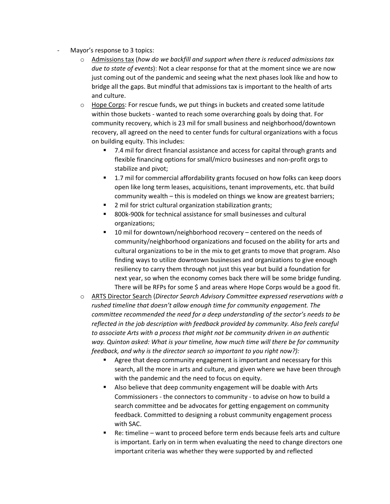- Mayor's response to 3 topics:
	- o Admissions tax (*how do we backfill and support when there is reduced admissions tax due to state of events*): Not a clear response for that at the moment since we are now just coming out of the pandemic and seeing what the next phases look like and how to bridge all the gaps. But mindful that admissions tax is important to the health of arts and culture.
	- $\circ$  Hope Corps: For rescue funds, we put things in buckets and created some latitude within those buckets - wanted to reach some overarching goals by doing that. For community recovery, which is 23 mil for small business and neighborhood/downtown recovery, all agreed on the need to center funds for cultural organizations with a focus on building equity. This includes:
		- 7.4 mil for direct financial assistance and access for capital through grants and flexible financing options for small/micro businesses and non-profit orgs to stabilize and pivot;
		- **1.7 mil for commercial affordability grants focused on how folks can keep doors** open like long term leases, acquisitions, tenant improvements, etc. that build community wealth – this is modeled on things we know are greatest barriers;
		- 2 mil for strict cultural organization stabilization grants;
		- 800k-900k for technical assistance for small businesses and cultural organizations;
		- $10$  mil for downtown/neighborhood recovery centered on the needs of community/neighborhood organizations and focused on the ability for arts and cultural organizations to be in the mix to get grants to move that program. Also finding ways to utilize downtown businesses and organizations to give enough resiliency to carry them through not just this year but build a foundation for next year, so when the economy comes back there will be some bridge funding. There will be RFPs for some \$ and areas where Hope Corps would be a good fit.
	- o ARTS Director Search (*Director Search Advisory Committee expressed reservations with a rushed timeline that doesn't allow enough time for community engagement. The committee recommended the need for a deep understanding of the sector's needs to be reflected in the job description with feedback provided by community. Also feels careful to associate Arts with a process that might not be community driven in an authentic way. Quinton asked: What is your timeline, how much time will there be for community feedback, and why is the director search so important to you right now?):* 
		- **Agree that deep community engagement is important and necessary for this** search, all the more in arts and culture, and given where we have been through with the pandemic and the need to focus on equity.
		- Also believe that deep community engagement will be doable with Arts Commissioners - the connectors to community - to advise on how to build a search committee and be advocates for getting engagement on community feedback. Committed to designing a robust community engagement process with SAC.
		- Re: timeline want to proceed before term ends because feels arts and culture is important. Early on in term when evaluating the need to change directors one important criteria was whether they were supported by and reflected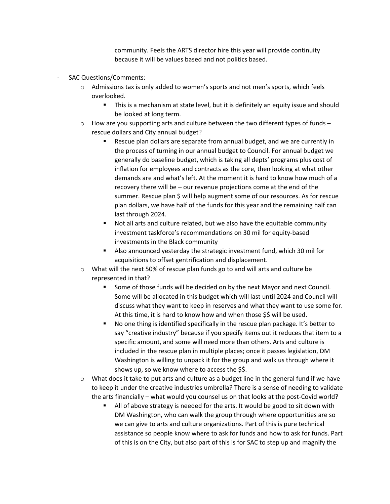community. Feels the ARTS director hire this year will provide continuity because it will be values based and not politics based.

- SAC Questions/Comments:
	- $\circ$  Admissions tax is only added to women's sports and not men's sports, which feels overlooked.
		- **This is a mechanism at state level, but it is definitely an equity issue and should** be looked at long term.
	- $\circ$  How are you supporting arts and culture between the two different types of funds rescue dollars and City annual budget?
		- Rescue plan dollars are separate from annual budget, and we are currently in the process of turning in our annual budget to Council. For annual budget we generally do baseline budget, which is taking all depts' programs plus cost of inflation for employees and contracts as the core, then looking at what other demands are and what's left. At the moment it is hard to know how much of a recovery there will be – our revenue projections come at the end of the summer. Rescue plan \$ will help augment some of our resources. As for rescue plan dollars, we have half of the funds for this year and the remaining half can last through 2024.
		- Not all arts and culture related, but we also have the equitable community investment taskforce's recommendations on 30 mil for equity-based investments in the Black community
		- Also announced yesterday the strategic investment fund, which 30 mil for acquisitions to offset gentrification and displacement.
	- o What will the next 50% of rescue plan funds go to and will arts and culture be represented in that?
		- Some of those funds will be decided on by the next Mayor and next Council. Some will be allocated in this budget which will last until 2024 and Council will discuss what they want to keep in reserves and what they want to use some for. At this time, it is hard to know how and when those \$\$ will be used.
		- No one thing is identified specifically in the rescue plan package. It's better to say "creative industry" because if you specify items out it reduces that item to a specific amount, and some will need more than others. Arts and culture is included in the rescue plan in multiple places; once it passes legislation, DM Washington is willing to unpack it for the group and walk us through where it shows up, so we know where to access the \$\$.
	- $\circ$  What does it take to put arts and culture as a budget line in the general fund if we have to keep it under the creative industries umbrella? There is a sense of needing to validate the arts financially – what would you counsel us on that looks at the post-Covid world?
		- All of above strategy is needed for the arts. It would be good to sit down with DM Washington, who can walk the group through where opportunities are so we can give to arts and culture organizations. Part of this is pure technical assistance so people know where to ask for funds and how to ask for funds. Part of this is on the City, but also part of this is for SAC to step up and magnify the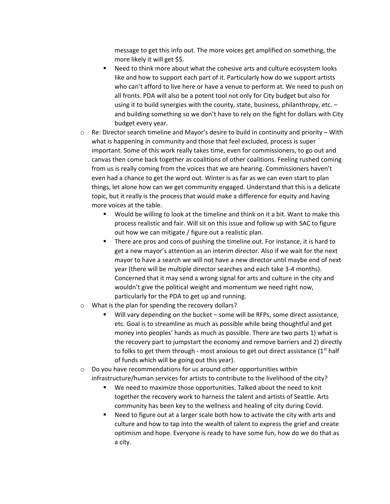message to get this info out. The more voices get amplified on something, the more likely it will get \$\$.

- Need to think more about what the cohesive arts and culture ecosystem looks like and how to support each part of it. Particularly how do we support artists who can't afford to live here or have a venue to perform at. We need to push on all fronts. PDA will also be a potent tool not only for City budget but also for using it to build synergies with the county, state, business, philanthropy, etc. – and building something so we don't have to rely on the fight for dollars with City budget every year.
- $\circ$  Re: Director search timeline and Mayor's desire to build in continuity and priority With what is happening in community and those that feel excluded, process is super important. Some of this work really takes time, even for commissioners, to go out and canvas then come back together as coalitions of other coalitions. Feeling rushed coming from us is really coming from the voices that we are hearing. Commissioners haven't even had a chance to get the word out. Winter is as far as we can even start to plan things, let alone how can we get community engaged. Understand that this is a delicate topic, but it really is the process that would make a difference for equity and having more voices at the table.
	- Would be willing to look at the timeline and think on it a bit. Want to make this process realistic and fair. Will sit on this issue and follow up with SAC to figure out how we can mitigate / figure out a realistic plan.
	- There are pros and cons of pushing the timeline out. For instance, it is hard to get a new mayor's attention as an interim director. Also if we wait for the next mayor to have a search we will not have a new director until maybe end of next year (there will be multiple director searches and each take 3-4 months). Concerned that it may send a wrong signal for arts and culture in the city and wouldn't give the political weight and momentum we need right now, particularly for the PDA to get up and running.
- o What is the plan for spending the recovery dollars?
	- Will vary depending on the bucket some will be RFPs, some direct assistance, etc. Goal is to streamline as much as possible while being thoughtful and get money into peoples' hands as much as possible. There are two parts 1) what is the recovery part to jumpstart the economy and remove barriers and 2) directly to folks to get them through - most anxious to get out direct assistance  $(1<sup>st</sup>$  half of funds which will be going out this year).
- $\circ$  Do you have recommendations for us around other opportunities within infrastructure/human services for artists to contribute to the livelihood of the city?
	- We need to maximize those opportunities. Talked about the need to knit together the recovery work to harness the talent and artists of Seattle. Arts community has been key to the wellness and healing of city during Covid.
	- Need to figure out at a larger scale both how to activate the city with arts and culture and how to tap into the wealth of talent to express the grief and create optimism and hope. Everyone is ready to have some fun, how do we do that as a city.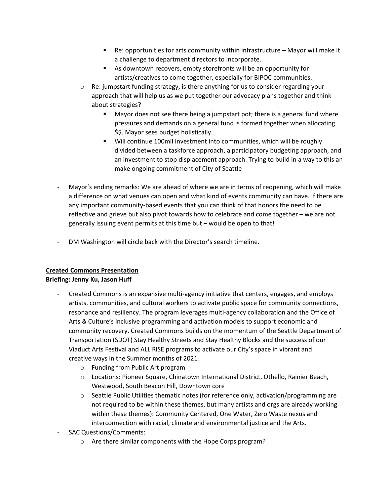- Re: opportunities for arts community within infrastructure Mayor will make it a challenge to department directors to incorporate.
- As downtown recovers, empty storefronts will be an opportunity for artists/creatives to come together, especially for BIPOC communities.
- $\circ$  Re: jumpstart funding strategy, is there anything for us to consider regarding your approach that will help us as we put together our advocacy plans together and think about strategies?
	- Mayor does not see there being a jumpstart pot; there is a general fund where pressures and demands on a general fund is formed together when allocating \$\$. Mayor sees budget holistically.
	- Will continue 100mil investment into communities, which will be roughly divided between a taskforce approach, a participatory budgeting approach, and an investment to stop displacement approach. Trying to build in a way to this an make ongoing commitment of City of Seattle
- Mayor's ending remarks: We are ahead of where we are in terms of reopening, which will make a difference on what venues can open and what kind of events community can have. If there are any important community-based events that you can think of that honors the need to be reflective and grieve but also pivot towards how to celebrate and come together – we are not generally issuing event permits at this time but – would be open to that!
- DM Washington will circle back with the Director's search timeline.

# **Created Commons Presentation**

# **Briefing: Jenny Ku, Jason Huff**

- Created Commons is an expansive multi-agency initiative that centers, engages, and employs artists, communities, and cultural workers to activate public space for community connections, resonance and resiliency. The program leverages multi-agency collaboration and the Office of Arts & Culture's inclusive programming and activation models to support economic and community recovery. Created Commons builds on the momentum of the Seattle Department of Transportation (SDOT) Stay Healthy Streets and Stay Healthy Blocks and the success of our Viaduct Arts Festival and ALL RISE programs to activate our City's space in vibrant and creative ways in the Summer months of 2021*.*
	- o Funding from Public Art program
	- o Locations: Pioneer Square, Chinatown International District, Othello, Rainier Beach, Westwood, South Beacon Hill, Downtown core
	- o Seattle Public Utilities thematic notes (for reference only, activation/programming are not required to be within these themes, but many artists and orgs are already working within these themes): Community Centered, One Water, Zero Waste nexus and interconnection with racial, climate and environmental justice and the Arts.
- SAC Questions/Comments:
	- o Are there similar components with the Hope Corps program?